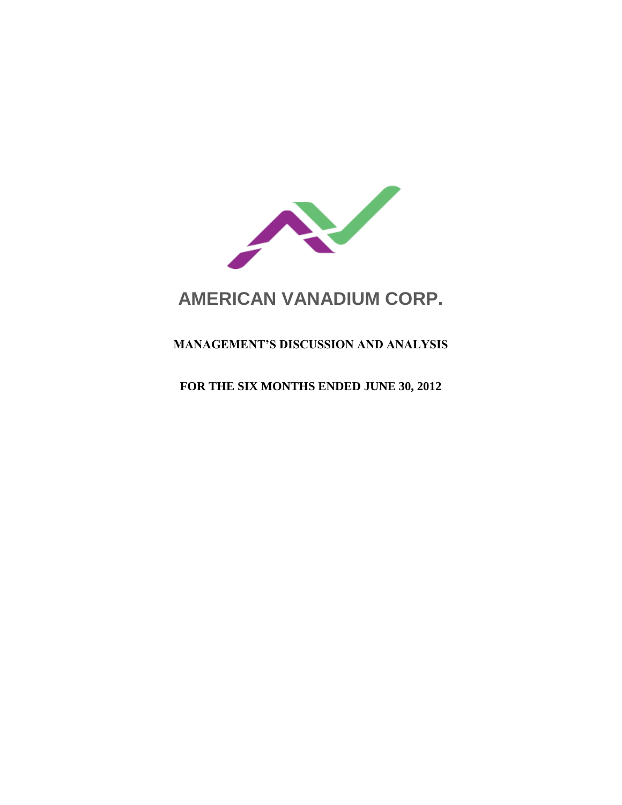

# **AMERICAN VANADIUM CORP.**

# **MANAGEMENT'S DISCUSSION AND ANALYSIS**

**FOR THE SIX MONTHS ENDED JUNE 30, 2012**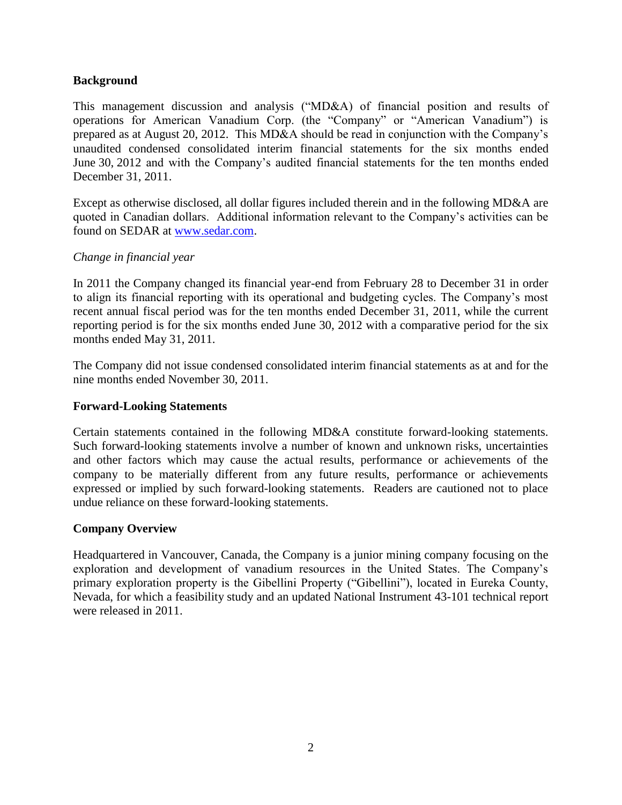# **Background**

This management discussion and analysis ("MD&A) of financial position and results of operations for American Vanadium Corp. (the "Company" or "American Vanadium") is prepared as at August 20, 2012. This MD&A should be read in conjunction with the Company's unaudited condensed consolidated interim financial statements for the six months ended June 30, 2012 and with the Company's audited financial statements for the ten months ended December 31, 2011.

Except as otherwise disclosed, all dollar figures included therein and in the following MD&A are quoted in Canadian dollars. Additional information relevant to the Company's activities can be found on SEDAR at [www.sedar.com.](http://www.sedar.com/)

#### *Change in financial year*

In 2011 the Company changed its financial year-end from February 28 to December 31 in order to align its financial reporting with its operational and budgeting cycles. The Company's most recent annual fiscal period was for the ten months ended December 31, 2011, while the current reporting period is for the six months ended June 30, 2012 with a comparative period for the six months ended May 31, 2011.

The Company did not issue condensed consolidated interim financial statements as at and for the nine months ended November 30, 2011.

#### **Forward-Looking Statements**

Certain statements contained in the following MD&A constitute forward-looking statements. Such forward-looking statements involve a number of known and unknown risks, uncertainties and other factors which may cause the actual results, performance or achievements of the company to be materially different from any future results, performance or achievements expressed or implied by such forward-looking statements. Readers are cautioned not to place undue reliance on these forward-looking statements.

#### **Company Overview**

Headquartered in Vancouver, Canada, the Company is a junior mining company focusing on the exploration and development of vanadium resources in the United States. The Company's primary exploration property is the Gibellini Property ("Gibellini"), located in Eureka County, Nevada, for which a feasibility study and an updated National Instrument 43-101 technical report were released in 2011.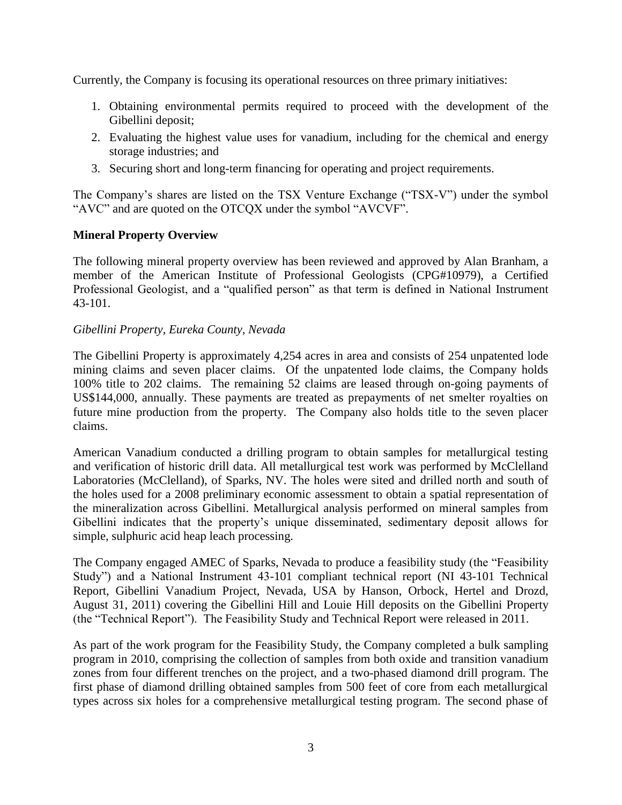Currently, the Company is focusing its operational resources on three primary initiatives:

- 1. Obtaining environmental permits required to proceed with the development of the Gibellini deposit;
- 2. Evaluating the highest value uses for vanadium, including for the chemical and energy storage industries; and
- 3. Securing short and long-term financing for operating and project requirements.

The Company's shares are listed on the TSX Venture Exchange ("TSX-V") under the symbol "AVC" and are quoted on the OTCQX under the symbol "AVCVF".

# **Mineral Property Overview**

The following mineral property overview has been reviewed and approved by Alan Branham, a member of the American Institute of Professional Geologists (CPG#10979), a Certified Professional Geologist, and a "qualified person" as that term is defined in National Instrument 43-101.

# *Gibellini Property, Eureka County, Nevada*

The Gibellini Property is approximately 4,254 acres in area and consists of 254 unpatented lode mining claims and seven placer claims. Of the unpatented lode claims, the Company holds 100% title to 202 claims. The remaining 52 claims are leased through on-going payments of US\$144,000, annually. These payments are treated as prepayments of net smelter royalties on future mine production from the property. The Company also holds title to the seven placer claims.

American Vanadium conducted a drilling program to obtain samples for metallurgical testing and verification of historic drill data. All metallurgical test work was performed by McClelland Laboratories (McClelland), of Sparks, NV. The holes were sited and drilled north and south of the holes used for a 2008 preliminary economic assessment to obtain a spatial representation of the mineralization across Gibellini. Metallurgical analysis performed on mineral samples from Gibellini indicates that the property's unique disseminated, sedimentary deposit allows for simple, sulphuric acid heap leach processing.

The Company engaged AMEC of Sparks, Nevada to produce a feasibility study (the "Feasibility Study") and a National Instrument 43-101 compliant technical report (NI 43-101 Technical Report, Gibellini Vanadium Project, Nevada, USA by Hanson, Orbock, Hertel and Drozd, August 31, 2011) covering the Gibellini Hill and Louie Hill deposits on the Gibellini Property (the "Technical Report"). The Feasibility Study and Technical Report were released in 2011.

As part of the work program for the Feasibility Study, the Company completed a bulk sampling program in 2010, comprising the collection of samples from both oxide and transition vanadium zones from four different trenches on the project, and a two-phased diamond drill program. The first phase of diamond drilling obtained samples from 500 feet of core from each metallurgical types across six holes for a comprehensive metallurgical testing program. The second phase of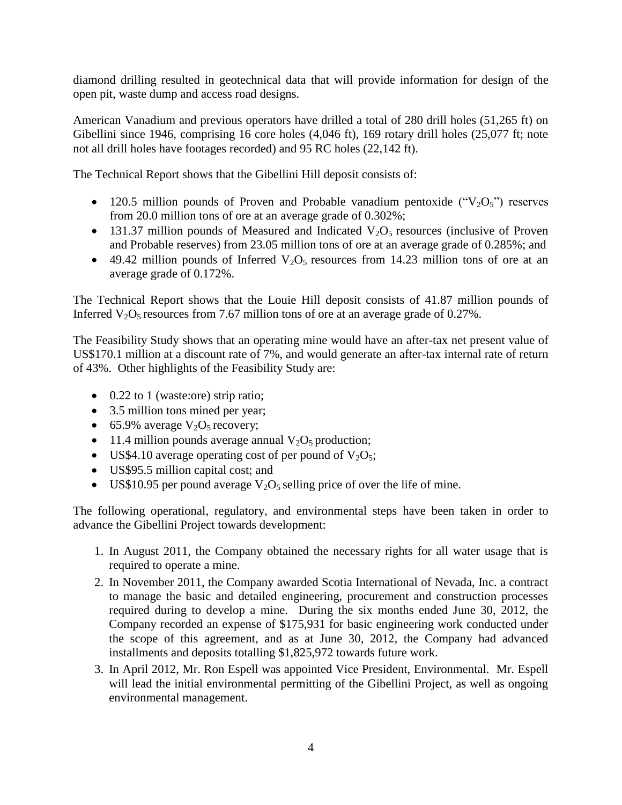diamond drilling resulted in geotechnical data that will provide information for design of the open pit, waste dump and access road designs.

American Vanadium and previous operators have drilled a total of 280 drill holes (51,265 ft) on Gibellini since 1946, comprising 16 core holes (4,046 ft), 169 rotary drill holes (25,077 ft; note not all drill holes have footages recorded) and 95 RC holes (22,142 ft).

The Technical Report shows that the Gibellini Hill deposit consists of:

- 120.5 million pounds of Proven and Probable vanadium pentoxide  $("V<sub>2</sub>O<sub>5</sub>")$  reserves from 20.0 million tons of ore at an average grade of 0.302%;
- 131.37 million pounds of Measured and Indicated  $V_2O_5$  resources (inclusive of Proven and Probable reserves) from 23.05 million tons of ore at an average grade of 0.285%; and
- $\bullet$  49.42 million pounds of Inferred V<sub>2</sub>O<sub>5</sub> resources from 14.23 million tons of ore at an average grade of 0.172%.

The Technical Report shows that the Louie Hill deposit consists of 41.87 million pounds of Inferred  $V_2O_5$  resources from 7.67 million tons of ore at an average grade of 0.27%.

The Feasibility Study shows that an operating mine would have an after-tax net present value of US\$170.1 million at a discount rate of 7%, and would generate an after-tax internal rate of return of 43%. Other highlights of the Feasibility Study are:

- 0.22 to 1 (waste:ore) strip ratio;
- 3.5 million tons mined per year;
- 65.9% average  $V_2O_5$  recovery;
- 11.4 million pounds average annual  $V_2O_5$  production;
- US\$4.10 average operating cost of per pound of  $V_2O_5$ ;
- US\$95.5 million capital cost; and
- US\$10.95 per pound average  $V_2O_5$  selling price of over the life of mine.

The following operational, regulatory, and environmental steps have been taken in order to advance the Gibellini Project towards development:

- 1. In August 2011, the Company obtained the necessary rights for all water usage that is required to operate a mine.
- 2. In November 2011, the Company awarded Scotia International of Nevada, Inc. a contract to manage the basic and detailed engineering, procurement and construction processes required during to develop a mine. During the six months ended June 30, 2012, the Company recorded an expense of \$175,931 for basic engineering work conducted under the scope of this agreement, and as at June 30, 2012, the Company had advanced installments and deposits totalling \$1,825,972 towards future work.
- 3. In April 2012, Mr. Ron Espell was appointed Vice President, Environmental. Mr. Espell will lead the initial environmental permitting of the Gibellini Project, as well as ongoing environmental management.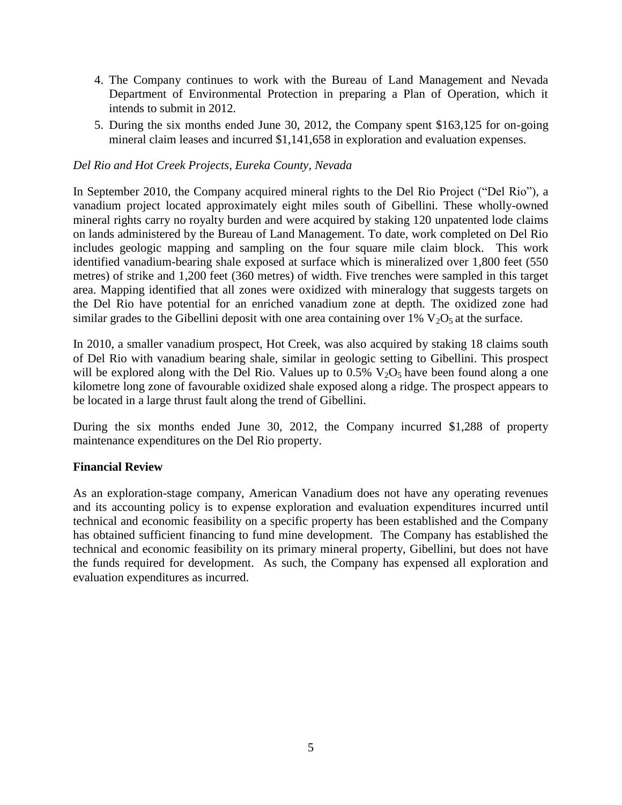- 4. The Company continues to work with the Bureau of Land Management and Nevada Department of Environmental Protection in preparing a Plan of Operation, which it intends to submit in 2012.
- 5. During the six months ended June 30, 2012, the Company spent \$163,125 for on-going mineral claim leases and incurred \$1,141,658 in exploration and evaluation expenses.

### *Del Rio and Hot Creek Projects, Eureka County, Nevada*

In September 2010, the Company acquired mineral rights to the Del Rio Project ("Del Rio"), a vanadium project located approximately eight miles south of Gibellini. These wholly-owned mineral rights carry no royalty burden and were acquired by staking 120 unpatented lode claims on lands administered by the Bureau of Land Management. To date, work completed on Del Rio includes geologic mapping and sampling on the four square mile claim block. This work identified vanadium-bearing shale exposed at surface which is mineralized over 1,800 feet (550 metres) of strike and 1,200 feet (360 metres) of width. Five trenches were sampled in this target area. Mapping identified that all zones were oxidized with mineralogy that suggests targets on the Del Rio have potential for an enriched vanadium zone at depth. The oxidized zone had similar grades to the Gibellini deposit with one area containing over 1%  $V_2O_5$  at the surface.

In 2010, a smaller vanadium prospect, Hot Creek, was also acquired by staking 18 claims south of Del Rio with vanadium bearing shale, similar in geologic setting to Gibellini. This prospect will be explored along with the Del Rio. Values up to  $0.5\%$  V<sub>2</sub>O<sub>5</sub> have been found along a one kilometre long zone of favourable oxidized shale exposed along a ridge. The prospect appears to be located in a large thrust fault along the trend of Gibellini.

During the six months ended June 30, 2012, the Company incurred \$1,288 of property maintenance expenditures on the Del Rio property.

#### **Financial Review**

As an exploration-stage company, American Vanadium does not have any operating revenues and its accounting policy is to expense exploration and evaluation expenditures incurred until technical and economic feasibility on a specific property has been established and the Company has obtained sufficient financing to fund mine development. The Company has established the technical and economic feasibility on its primary mineral property, Gibellini, but does not have the funds required for development. As such, the Company has expensed all exploration and evaluation expenditures as incurred.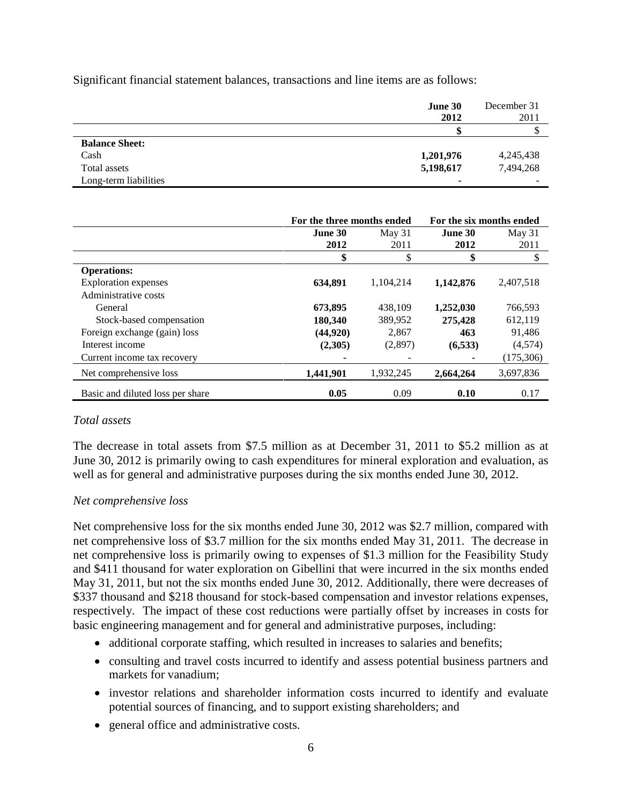Significant financial statement balances, transactions and line items are as follows:

|                       | June 30<br>2012          | December 31<br>2011 |
|-----------------------|--------------------------|---------------------|
|                       |                          | ◡                   |
| <b>Balance Sheet:</b> |                          |                     |
| Cash                  | 1,201,976                | 4,245,438           |
| Total assets          | 5,198,617                | 7,494,268           |
| Long-term liabilities | $\overline{\phantom{a}}$ |                     |

|                                  | For the three months ended |           | For the six months ended |            |
|----------------------------------|----------------------------|-----------|--------------------------|------------|
|                                  | June 30                    | May $31$  | June 30                  | May $31$   |
|                                  | 2012                       | 2011      | 2012                     | 2011       |
|                                  | \$                         | \$        | \$                       | \$         |
| <b>Operations:</b>               |                            |           |                          |            |
| <b>Exploration</b> expenses      | 634,891                    | 1,104,214 | 1,142,876                | 2,407,518  |
| Administrative costs             |                            |           |                          |            |
| General                          | 673,895                    | 438,109   | 1,252,030                | 766,593    |
| Stock-based compensation         | 180,340                    | 389,952   | 275,428                  | 612,119    |
| Foreign exchange (gain) loss     | (44,920)                   | 2,867     | 463                      | 91,486     |
| Interest income                  | (2,305)                    | (2,897)   | (6, 533)                 | (4,574)    |
| Current income tax recovery      |                            |           |                          | (175, 306) |
| Net comprehensive loss           | 1,441,901                  | 1,932,245 | 2,664,264                | 3,697,836  |
| Basic and diluted loss per share | 0.05                       | 0.09      | 0.10                     | 0.17       |

#### *Total assets*

The decrease in total assets from \$7.5 million as at December 31, 2011 to \$5.2 million as at June 30, 2012 is primarily owing to cash expenditures for mineral exploration and evaluation, as well as for general and administrative purposes during the six months ended June 30, 2012.

#### *Net comprehensive loss*

Net comprehensive loss for the six months ended June 30, 2012 was \$2.7 million, compared with net comprehensive loss of \$3.7 million for the six months ended May 31, 2011. The decrease in net comprehensive loss is primarily owing to expenses of \$1.3 million for the Feasibility Study and \$411 thousand for water exploration on Gibellini that were incurred in the six months ended May 31, 2011, but not the six months ended June 30, 2012. Additionally, there were decreases of \$337 thousand and \$218 thousand for stock-based compensation and investor relations expenses, respectively. The impact of these cost reductions were partially offset by increases in costs for basic engineering management and for general and administrative purposes, including:

- additional corporate staffing, which resulted in increases to salaries and benefits;
- consulting and travel costs incurred to identify and assess potential business partners and markets for vanadium;
- investor relations and shareholder information costs incurred to identify and evaluate potential sources of financing, and to support existing shareholders; and
- general office and administrative costs.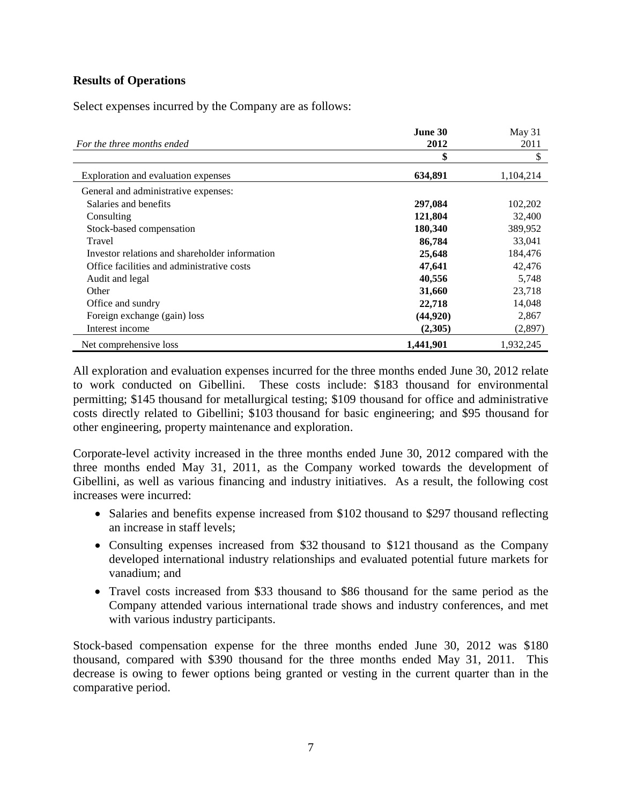# **Results of Operations**

Select expenses incurred by the Company are as follows:

|                                                | June 30   | May 31    |
|------------------------------------------------|-----------|-----------|
| For the three months ended                     | 2012      | 2011      |
|                                                | \$        | \$        |
| Exploration and evaluation expenses            | 634,891   | 1,104,214 |
| General and administrative expenses:           |           |           |
| Salaries and benefits                          | 297,084   | 102,202   |
| Consulting                                     | 121,804   | 32,400    |
| Stock-based compensation                       | 180,340   | 389,952   |
| Travel                                         | 86,784    | 33,041    |
| Investor relations and shareholder information | 25,648    | 184,476   |
| Office facilities and administrative costs     | 47,641    | 42,476    |
| Audit and legal                                | 40,556    | 5,748     |
| Other                                          | 31,660    | 23,718    |
| Office and sundry                              | 22,718    | 14,048    |
| Foreign exchange (gain) loss                   | (44,920)  | 2,867     |
| Interest income                                | (2,305)   | (2,897)   |
| Net comprehensive loss                         | 1,441,901 | 1,932,245 |

All exploration and evaluation expenses incurred for the three months ended June 30, 2012 relate to work conducted on Gibellini. These costs include: \$183 thousand for environmental permitting; \$145 thousand for metallurgical testing; \$109 thousand for office and administrative costs directly related to Gibellini; \$103 thousand for basic engineering; and \$95 thousand for other engineering, property maintenance and exploration.

Corporate-level activity increased in the three months ended June 30, 2012 compared with the three months ended May 31, 2011, as the Company worked towards the development of Gibellini, as well as various financing and industry initiatives. As a result, the following cost increases were incurred:

- Salaries and benefits expense increased from \$102 thousand to \$297 thousand reflecting an increase in staff levels;
- Consulting expenses increased from \$32 thousand to \$121 thousand as the Company developed international industry relationships and evaluated potential future markets for vanadium; and
- Travel costs increased from \$33 thousand to \$86 thousand for the same period as the Company attended various international trade shows and industry conferences, and met with various industry participants.

Stock-based compensation expense for the three months ended June 30, 2012 was \$180 thousand, compared with \$390 thousand for the three months ended May 31, 2011. This decrease is owing to fewer options being granted or vesting in the current quarter than in the comparative period.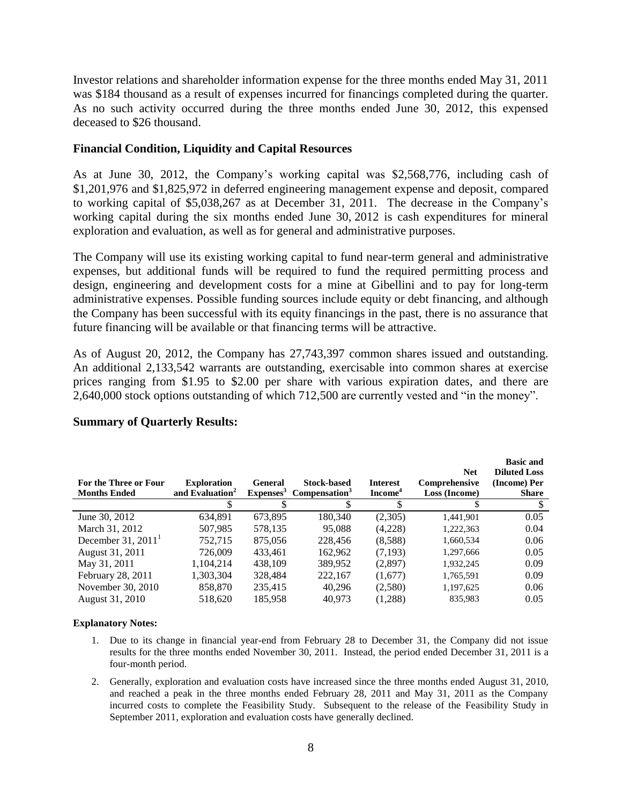Investor relations and shareholder information expense for the three months ended May 31, 2011 was \$184 thousand as a result of expenses incurred for financings completed during the quarter. As no such activity occurred during the three months ended June 30, 2012, this expensed deceased to \$26 thousand.

#### **Financial Condition, Liquidity and Capital Resources**

As at June 30, 2012, the Company's working capital was \$2,568,776, including cash of \$1,201,976 and \$1,825,972 in deferred engineering management expense and deposit, compared to working capital of \$5,038,267 as at December 31, 2011. The decrease in the Company's working capital during the six months ended June 30, 2012 is cash expenditures for mineral exploration and evaluation, as well as for general and administrative purposes.

The Company will use its existing working capital to fund near-term general and administrative expenses, but additional funds will be required to fund the required permitting process and design, engineering and development costs for a mine at Gibellini and to pay for long-term administrative expenses. Possible funding sources include equity or debt financing, and although the Company has been successful with its equity financings in the past, there is no assurance that future financing will be available or that financing terms will be attractive.

As of August 20, 2012, the Company has 27,743,397 common shares issued and outstanding. An additional 2,133,542 warrants are outstanding, exercisable into common shares at exercise prices ranging from \$1.95 to \$2.00 per share with various expiration dates, and there are 2,640,000 stock options outstanding of which 712,500 are currently vested and "in the money".

| For the Three or Four<br><b>Months Ended</b> | <b>Exploration</b><br>and Evaluation <sup>2</sup> | <b>General</b><br>Expenses <sup>3</sup> | <b>Stock-based</b><br>Compensation <sup>3</sup> | <b>Interest</b><br>Income <sup>4</sup> | <b>Net</b><br>Comprehensive<br>Loss (Income) | <b>Basic and</b><br><b>Diluted Loss</b><br>(Income) Per<br><b>Share</b> |
|----------------------------------------------|---------------------------------------------------|-----------------------------------------|-------------------------------------------------|----------------------------------------|----------------------------------------------|-------------------------------------------------------------------------|
|                                              |                                                   |                                         |                                                 |                                        |                                              |                                                                         |
| June 30, 2012                                | 634.891                                           | 673,895                                 | 180,340                                         | (2,305)                                | 1,441,901                                    | 0.05                                                                    |
| March 31, 2012                               | 507,985                                           | 578,135                                 | 95,088                                          | (4,228)                                | 1,222,363                                    | 0.04                                                                    |
| December 31, $20111$                         | 752,715                                           | 875,056                                 | 228,456                                         | (8,588)                                | 1,660,534                                    | 0.06                                                                    |
| August 31, 2011                              | 726,009                                           | 433,461                                 | 162,962                                         | (7,193)                                | 1,297,666                                    | 0.05                                                                    |
| May 31, 2011                                 | 1,104,214                                         | 438,109                                 | 389,952                                         | (2,897)                                | 1,932,245                                    | 0.09                                                                    |
| February 28, 2011                            | 1,303,304                                         | 328,484                                 | 222,167                                         | (1,677)                                | 1,765,591                                    | 0.09                                                                    |
| November 30, 2010                            | 858,870                                           | 235,415                                 | 40.296                                          | (2,580)                                | 1,197,625                                    | 0.06                                                                    |
| August 31, 2010                              | 518.620                                           | 185,958                                 | 40,973                                          | (1,288)                                | 835.983                                      | 0.05                                                                    |

#### **Summary of Quarterly Results:**

#### **Explanatory Notes:**

- 1. Due to its change in financial year-end from February 28 to December 31, the Company did not issue results for the three months ended November 30, 2011. Instead, the period ended December 31, 2011 is a four-month period.
- 2. Generally, exploration and evaluation costs have increased since the three months ended August 31, 2010, and reached a peak in the three months ended February 28, 2011 and May 31, 2011 as the Company incurred costs to complete the Feasibility Study. Subsequent to the release of the Feasibility Study in September 2011, exploration and evaluation costs have generally declined.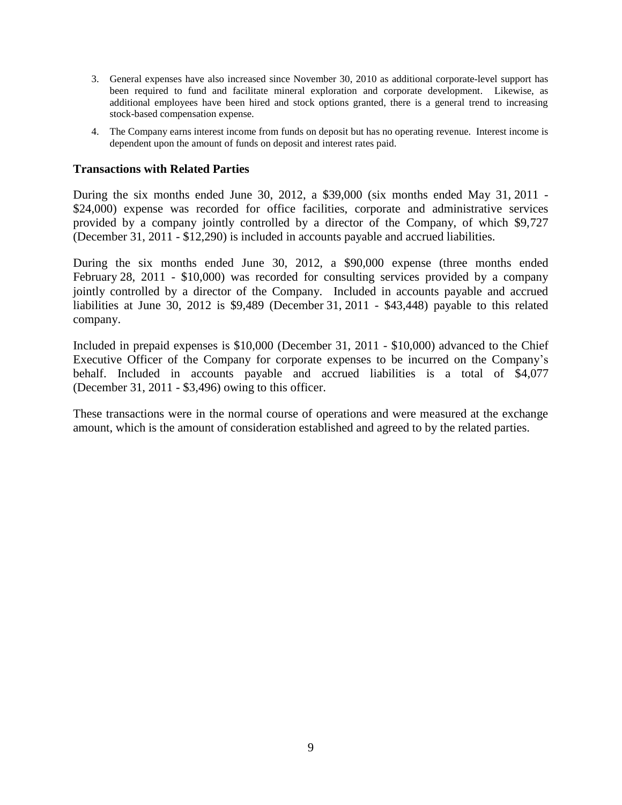- 3. General expenses have also increased since November 30, 2010 as additional corporate-level support has been required to fund and facilitate mineral exploration and corporate development. Likewise, as additional employees have been hired and stock options granted, there is a general trend to increasing stock-based compensation expense.
- 4. The Company earns interest income from funds on deposit but has no operating revenue. Interest income is dependent upon the amount of funds on deposit and interest rates paid.

#### **Transactions with Related Parties**

During the six months ended June  $30$ ,  $2012$ , a \$39,000 (six months ended May  $31$ ,  $2011$ . \$24,000) expense was recorded for office facilities, corporate and administrative services provided by a company jointly controlled by a director of the Company, of which \$9,727 (December 31, 2011 - \$12,290) is included in accounts payable and accrued liabilities.

During the six months ended June 30, 2012, a \$90,000 expense (three months ended February 28, 2011 - \$10,000) was recorded for consulting services provided by a company jointly controlled by a director of the Company. Included in accounts payable and accrued liabilities at June 30, 2012 is \$9,489 (December 31, 2011 - \$43,448) payable to this related company.

Included in prepaid expenses is \$10,000 (December 31, 2011 - \$10,000) advanced to the Chief Executive Officer of the Company for corporate expenses to be incurred on the Company's behalf. Included in accounts payable and accrued liabilities is a total of \$4,077 (December 31, 2011 - \$3,496) owing to this officer.

These transactions were in the normal course of operations and were measured at the exchange amount, which is the amount of consideration established and agreed to by the related parties.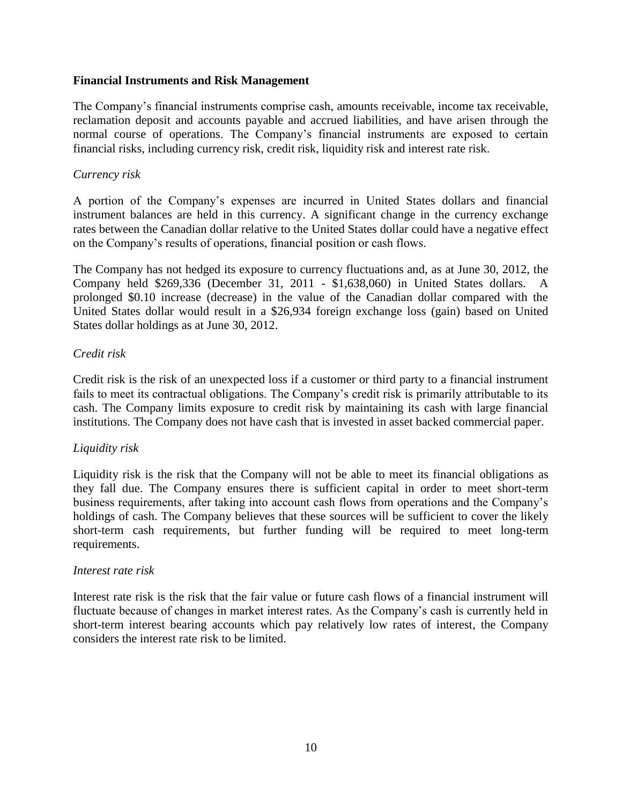#### **Financial Instruments and Risk Management**

The Company's financial instruments comprise cash, amounts receivable, income tax receivable, reclamation deposit and accounts payable and accrued liabilities, and have arisen through the normal course of operations. The Company's financial instruments are exposed to certain financial risks, including currency risk, credit risk, liquidity risk and interest rate risk.

#### *Currency risk*

A portion of the Company's expenses are incurred in United States dollars and financial instrument balances are held in this currency. A significant change in the currency exchange rates between the Canadian dollar relative to the United States dollar could have a negative effect on the Company's results of operations, financial position or cash flows.

The Company has not hedged its exposure to currency fluctuations and, as at June 30, 2012, the Company held \$269,336 (December 31, 2011 - \$1,638,060) in United States dollars. A prolonged \$0.10 increase (decrease) in the value of the Canadian dollar compared with the United States dollar would result in a \$26,934 foreign exchange loss (gain) based on United States dollar holdings as at June 30, 2012.

#### *Credit risk*

Credit risk is the risk of an unexpected loss if a customer or third party to a financial instrument fails to meet its contractual obligations. The Company's credit risk is primarily attributable to its cash. The Company limits exposure to credit risk by maintaining its cash with large financial institutions. The Company does not have cash that is invested in asset backed commercial paper.

#### *Liquidity risk*

Liquidity risk is the risk that the Company will not be able to meet its financial obligations as they fall due. The Company ensures there is sufficient capital in order to meet short-term business requirements, after taking into account cash flows from operations and the Company's holdings of cash. The Company believes that these sources will be sufficient to cover the likely short-term cash requirements, but further funding will be required to meet long-term requirements.

#### *Interest rate risk*

Interest rate risk is the risk that the fair value or future cash flows of a financial instrument will fluctuate because of changes in market interest rates. As the Company's cash is currently held in short-term interest bearing accounts which pay relatively low rates of interest, the Company considers the interest rate risk to be limited.